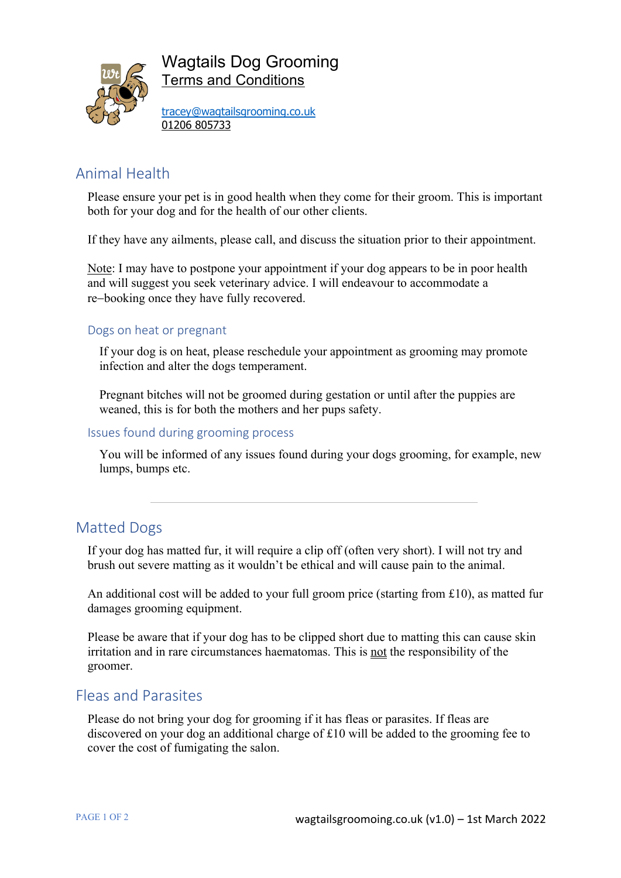

Wagtails Dog Grooming Terms and Conditions

tracey@wagtailsgrooming.co.uk 01206 805733

# Animal Health

Please ensure your pet is in good health when they come for their groom. This is important both for your dog and for the health of our other clients.

If they have any ailments, please call, and discuss the situation prior to their appointment.

Note: I may have to postpone your appointment if your dog appears to be in poor health and will suggest you seek veterinary advice. I will endeavour to accommodate a re-booking once they have fully recovered.

### Dogs on heat or pregnant

If your dog is on heat, please reschedule your appointment as grooming may promote infection and alter the dogs temperament.

Pregnant bitches will not be groomed during gestation or until after the puppies are weaned, this is for both the mothers and her pups safety.

### Issues found during grooming process

You will be informed of any issues found during your dogs grooming, for example, new lumps, bumps etc.

## Matted Dogs

If your dog has matted fur, it will require a clip off (often very short). I will not try and brush out severe matting as it wouldn't be ethical and will cause pain to the animal.

An additional cost will be added to your full groom price (starting from £10), as matted fur damages grooming equipment.

Please be aware that if your dog has to be clipped short due to matting this can cause skin irritation and in rare circumstances haematomas. This is not the responsibility of the groomer.

## Fleas and Parasites

Please do not bring your dog for grooming if it has fleas or parasites. If fleas are discovered on your dog an additional charge of £10 will be added to the grooming fee to cover the cost of fumigating the salon.